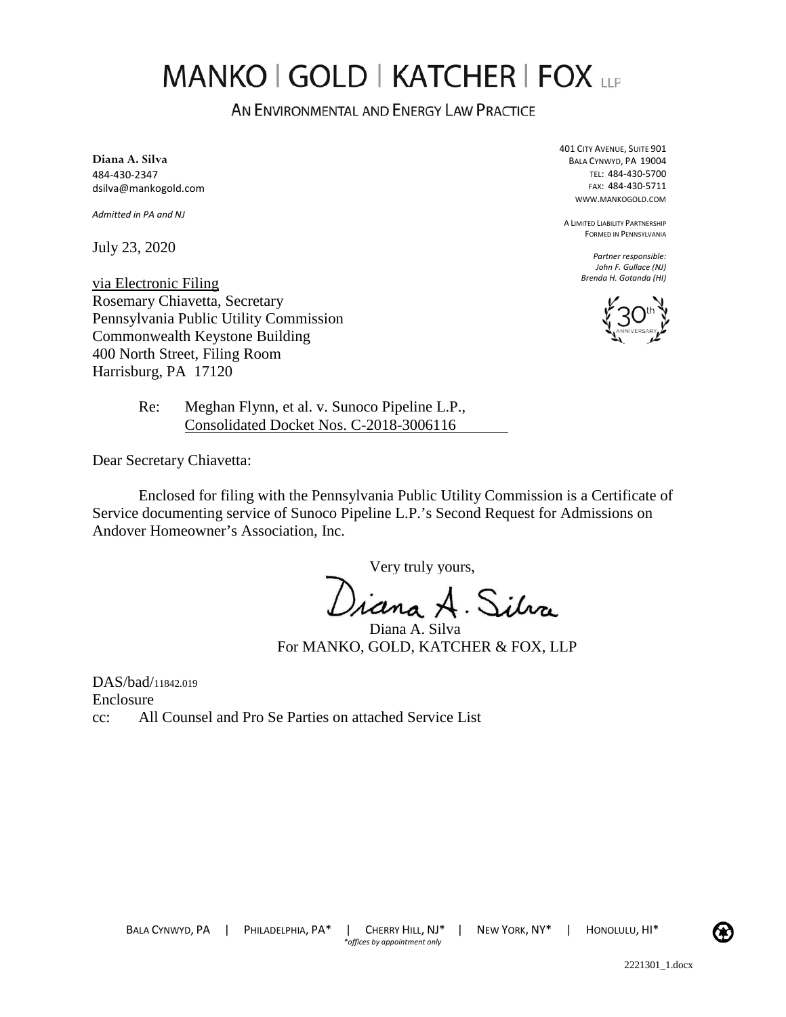## **MANKO | GOLD | KATCHER | FOX LLP**

AN ENVIRONMENTAL AND ENERGY LAW PRACTICE

**Diana A. Silva**  484-430-2347 dsilva@mankogold.com

*Admitted in PA and NJ* 

July 23, 2020

via Electronic Filing Rosemary Chiavetta, Secretary Pennsylvania Public Utility Commission Commonwealth Keystone Building 400 North Street, Filing Room Harrisburg, PA 17120

401 CITY AVENUE, SUITE 901 BALA CYNWYD, PA 19004 TEL: 484-430-5700 FAX: 484-430-5711 WWW.MANKOGOLD.COM

A LIMITED LIABILITY PARTNERSHIP FORMED IN PENNSYLVANIA

> *Partner responsible: John F. Gullace (NJ) Brenda H. Gotanda (HI)*



Re: Meghan Flynn, et al. v. Sunoco Pipeline L.P., Consolidated Docket Nos. C-2018-3006116

Dear Secretary Chiavetta:

Enclosed for filing with the Pennsylvania Public Utility Commission is a Certificate of Service documenting service of Sunoco Pipeline L.P.'s Second Request for Admissions on Andover Homeowner's Association, Inc.

Very truly yours,

)iana A. Silva

Diana A. Silva For MANKO, GOLD, KATCHER & FOX, LLP

DAS/bad/11842.019 Enclosure cc: All Counsel and Pro Se Parties on attached Service List

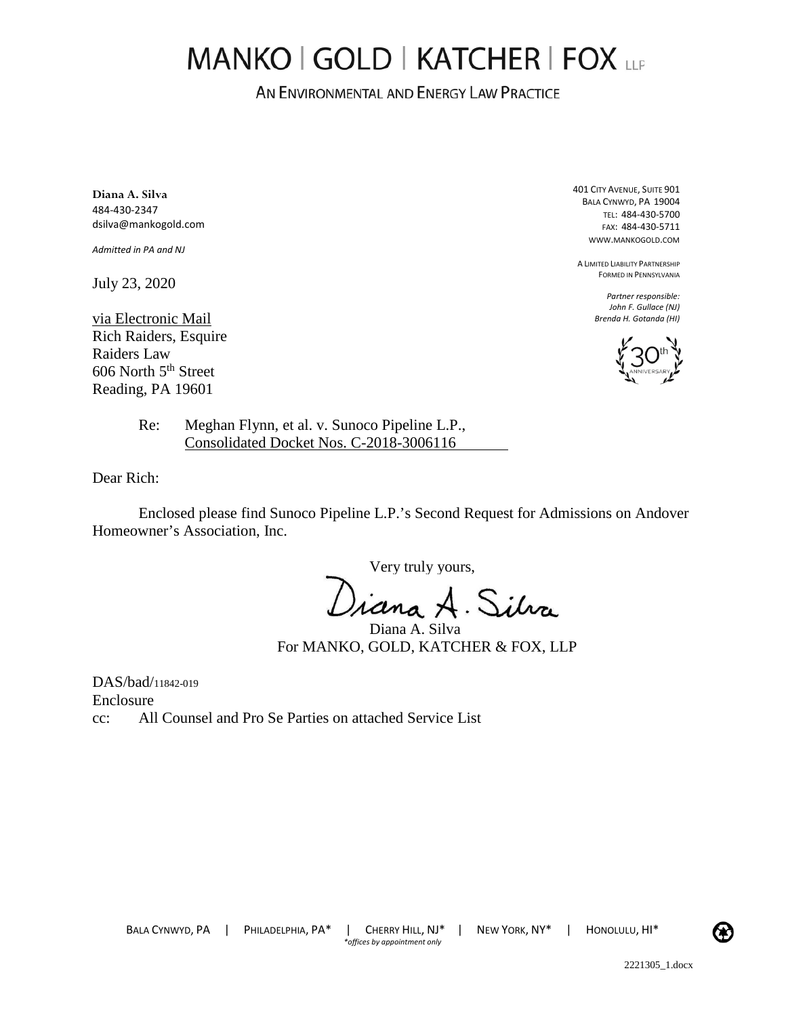## MANKO | GOLD | KATCHER | FOX LLP

AN ENVIRONMENTAL AND ENERGY LAW PRACTICE

**Diana A. Silva**  484-430-2347 dsilva@mankogold.com

*Admitted in PA and NJ* 

July 23, 2020

via Electronic Mail Rich Raiders, Esquire Raiders Law 606 North 5<sup>th</sup> Street Reading, PA 19601

Re: Meghan Flynn, et al. v. Sunoco Pipeline L.P., Consolidated Docket Nos. C-2018-3006116

Dear Rich:

Enclosed please find Sunoco Pipeline L.P.'s Second Request for Admissions on Andover Homeowner's Association, Inc.

Very truly yours,

Jiana A. Silva

Diana A. Silva For MANKO, GOLD, KATCHER & FOX, LLP

DAS/bad/11842-019 Enclosure cc: All Counsel and Pro Se Parties on attached Service List 401 CITY AVENUE, SUITE 901 BALA CYNWYD, PA 19004 TEL: 484-430-5700 FAX: 484-430-5711 WWW.MANKOGOLD.COM

A LIMITED LIABILITY PARTNERSHIP FORMED IN PENNSYLVANIA

> *Partner responsible: John F. Gullace (NJ) Brenda H. Gotanda (HI)*



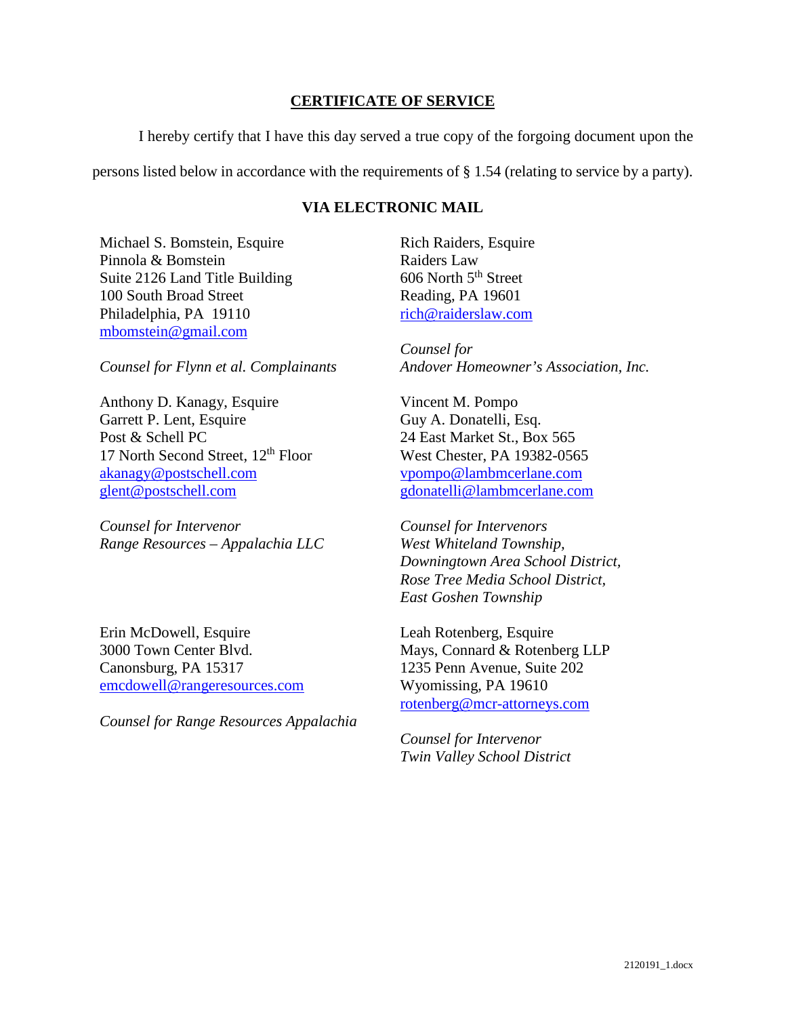## **CERTIFICATE OF SERVICE**

I hereby certify that I have this day served a true copy of the forgoing document upon the

persons listed below in accordance with the requirements of § 1.54 (relating to service by a party).

## **VIA ELECTRONIC MAIL**

Michael S. Bomstein, Esquire Pinnola & Bomstein Suite 2126 Land Title Building 100 South Broad Street Philadelphia, PA 19110 [mbomstein@gmail.com](mailto:mbomstein@gmail.com) 

*Counsel for Flynn et al. Complainants*

Anthony D. Kanagy, Esquire Garrett P. Lent, Esquire Post & Schell PC 17 North Second Street, 12<sup>th</sup> Floor [akanagy@postschell.com](mailto:akanagy@postschell.com)  [glent@postschell.com](mailto:glent@postschell.com) 

*Counsel for Intervenor Range Resources – Appalachia LLC*

Erin McDowell, Esquire 3000 Town Center Blvd. Canonsburg, PA 15317 [emcdowell@rangeresources.com](mailto:emcdowell@rangeresources.com)

*Counsel for Range Resources Appalachia* 

Rich Raiders, Esquire Raiders Law  $606$  North  $5<sup>th</sup>$  Street Reading, PA 19601 [rich@raiderslaw.com](mailto:rich@raiderslaw.com) 

*Counsel for Andover Homeowner's Association, Inc.* 

Vincent M. Pompo Guy A. Donatelli, Esq. 24 East Market St., Box 565 West Chester, PA 19382-0565 [vpompo@lambmcerlane.com](mailto:vpompo@lambmcerlane.com)  [gdonatelli@lambmcerlane.com](mailto:gdonatelli@lambmcerlane.com) 

*Counsel for Intervenors West Whiteland Township, Downingtown Area School District, Rose Tree Media School District, East Goshen Township* 

Leah Rotenberg, Esquire Mays, Connard & Rotenberg LLP 1235 Penn Avenue, Suite 202 Wyomissing, PA 19610 [rotenberg@mcr-attorneys.com](mailto:rotenberg@mcr-attorneys.com) 

*Counsel for Intervenor Twin Valley School District*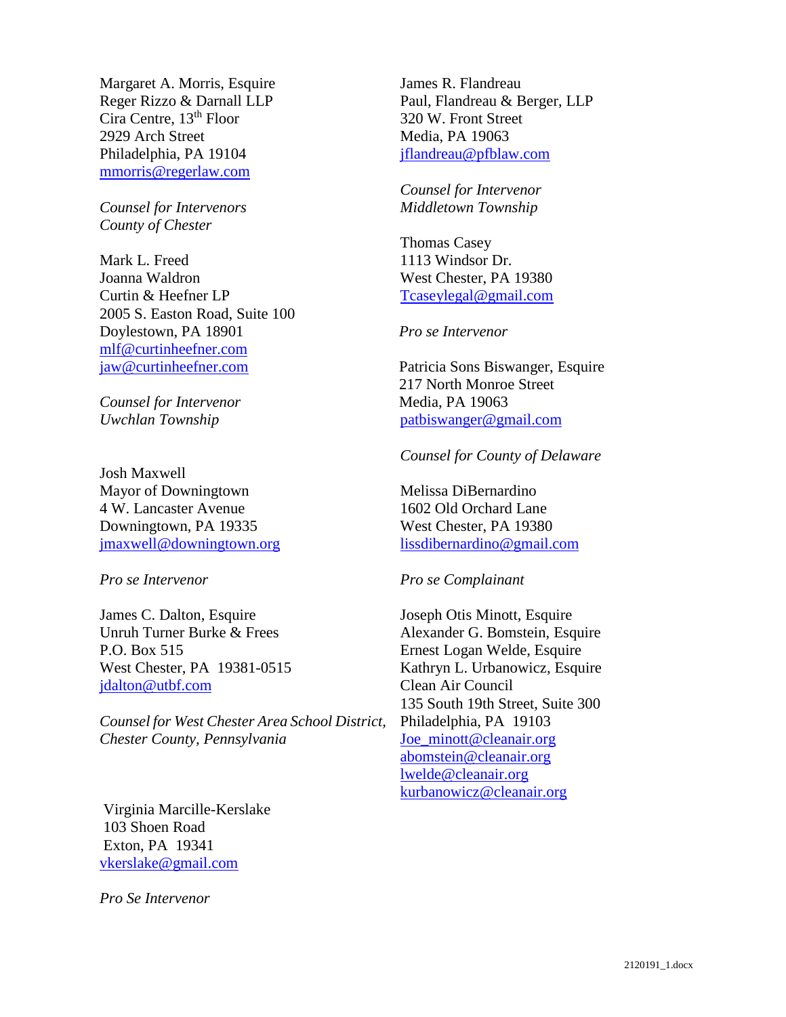Margaret A. Morris, Esquire Reger Rizzo & Darnall LLP Cira Centre, 13th Floor 2929 Arch Street Philadelphia, PA 19104 [mmorris@regerlaw.com](mailto:mmorris@regerlaw.com) 

*Counsel for Intervenors County of Chester*

Mark L. Freed Joanna Waldron Curtin & Heefner LP 2005 S. Easton Road, Suite 100 Doylestown, PA 18901 [mlf@curtinheefner.com](mailto:mlf@curtinheefner.com)  [jaw@curtinheefner.com](mailto:jaw@curtinheefner.com)

*Counsel for Intervenor Uwchlan Township* 

Josh Maxwell Mayor of Downingtown 4 W. Lancaster Avenue Downingtown, PA 19335 [jmaxwell@downingtown.org](mailto:jmaxwell@downingtown.org) 

*Pro se Intervenor* 

James C. Dalton, Esquire Unruh Turner Burke & Frees P.O. Box 515 West Chester, PA 19381-0515 [jdalton@utbf.com](mailto:jdalton@utbf.com) 

*Counsel for West Chester Area School District, Chester County, Pennsylvania* 

Virginia Marcille-Kerslake 103 Shoen Road Exton, PA 19341 [vkerslake@gmail.com](mailto:vkerslake@gmail.com)

*Pro Se Intervenor*

James R. Flandreau Paul, Flandreau & Berger, LLP 320 W. Front Street Media, PA 19063 [jflandreau@pfblaw.com](mailto:jflandreau@pfblaw.com) 

*Counsel for Intervenor Middletown Township* 

Thomas Casey 1113 Windsor Dr. West Chester, PA 19380 [Tcaseylegal@gmail.com](mailto:Tcaseylegal@gmail.com) 

*Pro se Intervenor*

Patricia Sons Biswanger, Esquire 217 North Monroe Street Media, PA 19063 [patbiswanger@gmail.com](mailto:patbiswanger@gmail.com) 

*Counsel for County of Delaware*

Melissa DiBernardino 1602 Old Orchard Lane West Chester, PA 19380 [lissdibernardino@gmail.com](mailto:lissdibernardino@gmail.com)

*Pro se Complainant* 

Joseph Otis Minott, Esquire Alexander G. Bomstein, Esquire Ernest Logan Welde, Esquire Kathryn L. Urbanowicz, Esquire Clean Air Council 135 South 19th Street, Suite 300 Philadelphia, PA 19103 [Joe\\_minott@cleanair.org](mailto:Joe_minott@cleanair.org) [abomstein@cleanair.org](mailto:abomstein@cleanair.org) [lwelde@cleanair.org](mailto:lwelde@cleanair.org) [kurbanowicz@cleanair.org](mailto:kurbanowicz@cleanair.org)